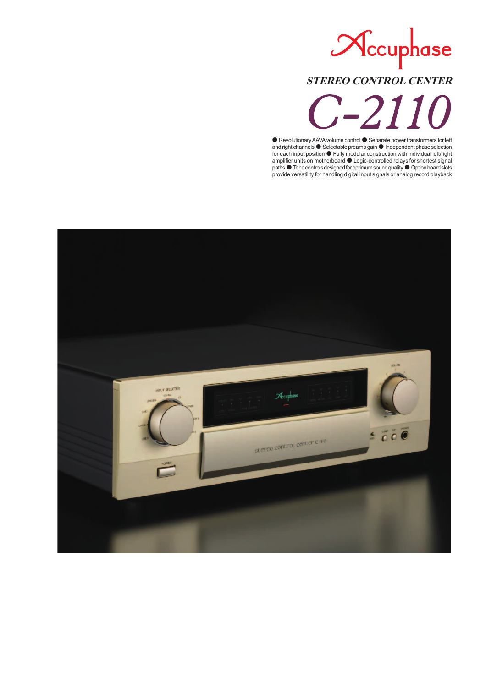# Nccuphase **STEREO CONTROL CENTER** -2110

● Revolutionary AAVA volume control ● Separate power transformers for left and right channels ● Selectable preamp gain ● Independent phase selection for each input position ● Fully modular construction with individual left/right amplifier units on motherboard  $\bullet$  Logic-controlled relays for shortest signal paths ● Tone controls designed for optimum sound quality ● Option board slots provide versatility for handling digital input signals or analog record playback

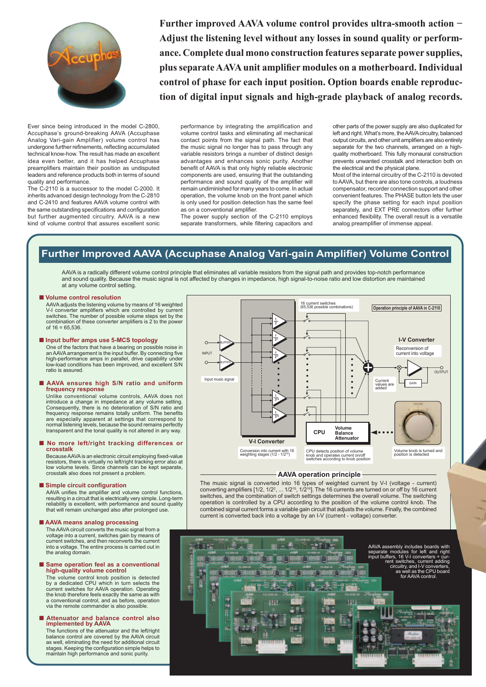

**Further improved AAVA volume control provides ultra-smooth action − Adjust the listening level without any losses in sound quality or performance. Complete dual mono construction features separate power supplies, plus separate AAVA unit amplifier modules on a motherboard. Individual control of phase for each input position. Option boards enable reproduction of digital input signals and high-grade playback of analog records.**

Ever since being introduced in the model C-2800, Accuphase's ground-breaking AAVA (Accuphase Analog Vari-gain Amplifier) volume control has undergone further refinements, reflecting accumulated technical know-how. The result has made an excellent idea even better, and it has helped Accuphase preamplifiers maintain their position as undisputed leaders and reference products both in terms of sound quality and performance.

The C-2110 is a successor to the model C-2000. It inherits advanced design technology from the C-2810 and C-2410 and features AAVA volume control with the same outstanding specifications and configuration but further augmented circuitry. AAVA is a new kind of volume control that assures excellent sonic performance by integrating the amplification and volume control tasks and eliminating all mechanical contact points from the signal path. The fact that the music signal no longer has to pass through any variable resistors brings a number of distinct design advantages and enhances sonic purity. Another benefit of AAVA is that only highly reliable electronic components are used, ensuring that the outstanding performance and sound quality of the amplifier will remain undiminished for many years to come. In actual operation, the volume knob on the front panel which is only used for position detection has the same feel as on a conventional amplifier.

The power supply section of the C-2110 employs separate transformers, while filtering capacitors and

other parts of the power supply are also duplicated for left and right. What's more, the AAVA circuitry, balanced output circuits, and other unit amplifiers are also entirely separate for the two channels, arranged on a highquality motherboard. This fully monaural construction prevents unwanted crosstalk and interaction both on the electrical and the physical plane.

Most of the internal circuitry of the C-2110 is devoted to AAVA, but there are also tone controls, a loudness compensator, recorder connection support and other convenient features. The PHASE button lets the user specify the phase setting for each input position separately, and EXT PRE connectors offer further enhanced flexibility. The overall result is a versatile analog preamplifier of immense appeal.

## **Further Improved AAVA (Accuphase Analog Vari-gain Amplifier) Volume Control**

AAVA is a radically different volume control principle that eliminates all variable resistors from the signal path and provides top-notch performance and sound quality. Because the music signal is not affected by changes in impedance, high signal-to-noise ratio and low distortion are maintained at any volume control setting.

## ■ Volume control resolution

 AAVA adjusts the listening volume by means of 16 weighted V-I converter amplifiers which are controlled by current<br>switches. The number of possible volume steps set by the combination of these converter amplifiers is 2 to the power of 16 = 65,536.

#### ■ **Input buffer amps use 5-MCS topology**

 One of the factors that have a bearing on possible noise in an AAVA arrangement is the input buffer. By connecting fi ve high-performance amps in parallel, drive capability under low-load conditions has been improved, and excellent S/N ratio is assured.

#### ■ AAVA ensures high S/N ratio and uniform **frequency response**

 Unlike conventional volume controls, AAVA does not introduce a change in impedance at any volume setting. Consequently, there is no deterioration of S/N ratio and frequency response remains totally uniform. The benefits are especially apparent at settings that correspond to normal listening levels, because the sound remains perfectly transparent and the tonal quality is not altered in any way.

# ■ **No more left/right tracking differences or crosstalk**

Because AAVA is an electronic circuit employing fixed-value resistors, there is virtually no left/right tracking error also at low volume levels. Since channels can be kept separate, crosstalk also does not present a problem.

## ■ Simple circuit configuration

AAVA unifies the amplifier and volume control functions, resulting in a circuit that is electrically very simple. Long-term reliability is excellent, with performance and sound quality that will remain unchanged also after prolonged use

## ■**AAVA means analog processing**

 The AAVA circuit converts the music signal from a voltage into a current, switches gain by means of current switches, and then reconverts the current into a voltage. The entire process is carried out in the analog domain.

# ■ Same operation feel as a conventional high-quality volume control

 The volume control knob position is detected by a dedicated CPU which in turn selects the current switches for AAVA operation. Operating the knob therefore feels exactly the same as with a conventional control, and as before, operation via the remote commander is also possible.

#### ■ Attenuator and balance control also **implemented by AAVA**

 The functions of the attenuator and the left/right balance control are covered by the AAVA circuit<br>as well, eliminating the need for additional circuit<br>stages. Keeping the configuration simple helps to maintain high performance and sonic purity.



## **AAVA operation principle**

The music signal is converted into 16 types of weighted current by V-I (voltage - current) converting amplifiers  $[1/2, 1/2^2, \ldots 1/2^{15}, 1/2^{16}]$ . The 16 currents are turned on or off by 16 current switches, and the combination of switch settings determines the overall volume. The switching operation is controlled by a CPU according to the position of the volume control knob. The combined signal current forms a variable gain circuit that adjusts the volume. Finally, the combined current is converted back into a voltage by an I-V (current - voltage) converter.

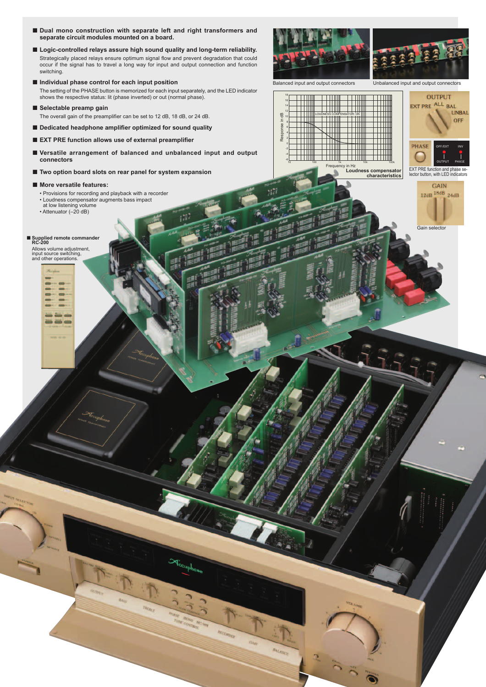- Dual mono construction with separate left and right transformers and **separate circuit modules mounted on a board.**
- Logic-controlled relays assure high sound quality and long-term reliability. Strategically placed relays ensure optimum signal flow and prevent degradation that could occur if the signal has to travel a long way for input and output connection and function switching.
- Individual phase control for each input position

 The setting of the PHASE button is memorized for each input separately, and the LED indicator shows the respective status: lit (phase inverted) or out (normal phase).

■ Selectable preamp gain

The overall gain of the preamplifier can be set to 12 dB, 18 dB, or 24 dB.

- Dedicated headphone amplifier optimized for sound quality
- **EXT PRE function allows use of external preamplifier**
- Versatile arrangement of balanced and unbalanced input and output **connectors**
- **Two option board slots on rear panel for system expansion**

## ■ **More versatile features:**

- Provisions for recording and playback with a recorder
- Loudness compensator augments bass impact
- at low listening volume • Attenuator (–20 dB)

## ■ **Supplied remote commander RC-200**

Allows volume adjustment, input source switching, and other operations.